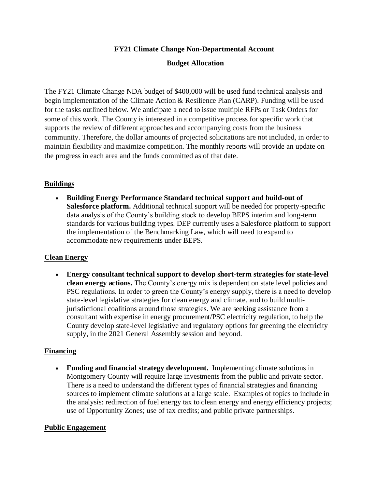# **FY21 Climate Change Non-Departmental Account**

# **Budget Allocation**

The FY21 Climate Change NDA budget of \$400,000 will be used fund technical analysis and begin implementation of the Climate Action & Resilience Plan (CARP). Funding will be used for the tasks outlined below. We anticipate a need to issue multiple RFPs or Task Orders for some of this work. The County is interested in a competitive process for specific work that supports the review of different approaches and accompanying costs from the business community. Therefore, the dollar amounts of projected solicitations are not included, in order to maintain flexibility and maximize competition. The monthly reports will provide an update on the progress in each area and the funds committed as of that date.

# **Buildings**

• **Building Energy Performance Standard technical support and build-out of Salesforce platform.** Additional technical support will be needed for property-specific data analysis of the County's building stock to develop BEPS interim and long-term standards for various building types. DEP currently uses a Salesforce platform to support the implementation of the Benchmarking Law, which will need to expand to accommodate new requirements under BEPS.

# **Clean Energy**

• **Energy consultant technical support to develop short-term strategies for state-level clean energy actions.** The County's energy mix is dependent on state level policies and PSC regulations. In order to green the County's energy supply, there is a need to develop state-level legislative strategies for clean energy and climate, and to build multijurisdictional coalitions around those strategies. We are seeking assistance from a consultant with expertise in energy procurement/PSC electricity regulation, to help the County develop state-level legislative and regulatory options for greening the electricity supply, in the 2021 General Assembly session and beyond.

### **Financing**

• **Funding and financial strategy development.** Implementing climate solutions in Montgomery County will require large investments from the public and private sector. There is a need to understand the different types of financial strategies and financing sources to implement climate solutions at a large scale. Examples of topics to include in the analysis: redirection of fuel energy tax to clean energy and energy efficiency projects; use of Opportunity Zones; use of tax credits; and public private partnerships.

### **Public Engagement**